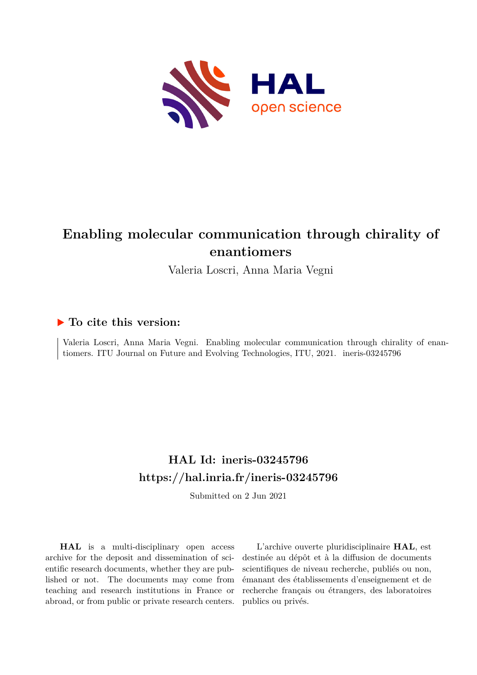

# **Enabling molecular communication through chirality of enantiomers**

Valeria Loscri, Anna Maria Vegni

## **To cite this version:**

Valeria Loscri, Anna Maria Vegni. Enabling molecular communication through chirality of enantiomers. ITU Journal on Future and Evolving Technologies, ITU, 2021. ineris-03245796

# **HAL Id: ineris-03245796 <https://hal.inria.fr/ineris-03245796>**

Submitted on 2 Jun 2021

**HAL** is a multi-disciplinary open access archive for the deposit and dissemination of scientific research documents, whether they are published or not. The documents may come from teaching and research institutions in France or abroad, or from public or private research centers.

L'archive ouverte pluridisciplinaire **HAL**, est destinée au dépôt et à la diffusion de documents scientifiques de niveau recherche, publiés ou non, émanant des établissements d'enseignement et de recherche français ou étrangers, des laboratoires publics ou privés.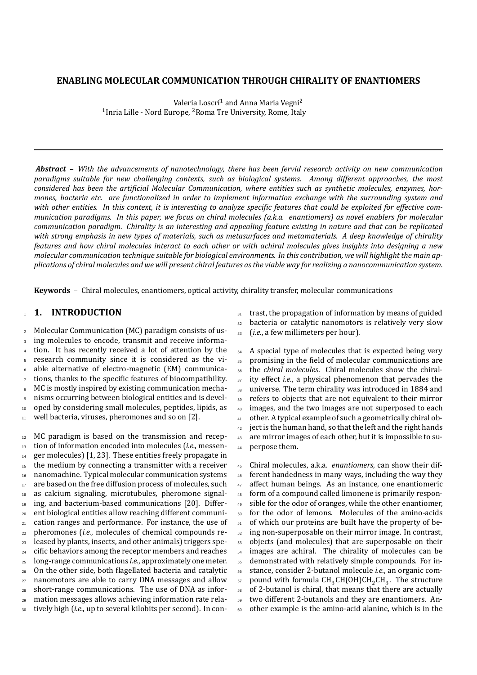#### **ENABLING MOLECULAR COMMUNICATION THROUGH CHIRALITY OF ENANTIOMERS**

Valeria Loscrí<sup>1</sup> and Anna Maria Vegni<sup>2</sup> <sup>1</sup> Inria Lille - Nord Europe, <sup>2</sup> Roma Tre University, Rome, Italy

*Abstract* – *With the advancements of nanotechnology, there has been fervid research activity on new communication paradigms suitable for new challenging contexts, such as biological systems. Among different approaches, the most considered has been the artificial Molecular Communication, where entities such as synthetic molecules, enzymes, hormones, bacteria etc. are functionalized in order to implement information exchange with the surrounding system and with other entities. In this context, it is interesting to analyze specific features that could be exploited for effective communication paradigms. In this paper, we focus on chiral molecules (a.k.a. enantiomers) as novel enablers for molecular communication paradigm. Chirality is an interesting and appealing feature existing in nature and that can be replicated with strong emphasis in new types of materials, such as metasurfaces and metamaterials. A deep knowledge of chirality features and how chiral molecules interact to each other or with achiral molecules gives insights into designing a new molecular communication technique suitable for biological environments. In this contribution, we will highlight the main applications of chiral molecules and we will present chiral features as the viable way for realizing a nanocommunication system.*

**Keywords** – Chiral molecules, enantiomers, optical activity, chirality transfer, molecular communications

### <sup>1</sup> **1. INTRODUCTION**

 Molecular Communication (MC) paradigm consists of us- ing molecules to encode, transmit and receive informa- tion. It has recently received a lot of attention by the research community since it is considered as the vi- able alternative of electro-magnetic (EM) communica- $\tau$  tions, thanks to the specific features of biocompatibility. 8 MC is mostly inspired by existing communication mecha- nisms occurring between biological entities and is devel- oped by considering small molecules, peptides, lipids, as 11 well bacteria, viruses, pheromones and so on [2].

 MC paradigm is based on the transmission and recep- tion of information encoded into molecules (*i.e.*, messen- $_{14}$  ger molecules) [1, 23]. These entities freely propagate in <sup>15</sup> the medium by connecting a transmitter with a receiver nanomachine. Typical molecular communication systems 17 are based on the free diffusion process of molecules, such as calcium signaling, microtubules, pheromone signal- ing, and bacterium-based communications [20]. Differ- ent biological entities allow reaching different communi- cation ranges and performance. For instance, the use of pheromones (*i.e.*, molecules of chemical compounds re- leased by plants, insects, and other animals) triggers spe- cific behaviors among the receptor members and reaches long-range communications *i.e.*, approximately one meter. On the other side, both flagellated bacteria and catalytic nanomotors are able to carry DNA messages and allow short-range communications. The use of DNA as infor- mation messages allows achieving information rate rela-tively high (*i.e.*, up to several kilobits per second). In con31 trast, the propagation of information by means of guided

- <sup>32</sup> bacteria or catalytic nanomotors is relatively very slow
- <sup>33</sup> (*i.e.*, a few millimeters per hour).

<sup>34</sup> A special type of molecules that is expected being very promising in the field of molecular communications are the *chiral molecules*. Chiral molecules show the chiral- ity effect *i.e.*, a physical phenomenon that pervades the universe. The term chirality was introduced in 1884 and refers to objects that are not equivalent to their mirror images, and the two images are not superposed to each 41 other. A typical example of such a geometrically chiral ob- ject is the human hand, so that the left and the right hands <sup>43</sup> are mirror images of each other, but it is impossible to su-perpose them.

 Chiral molecules, a.k.a. *enantiomers*, can show their dif- ferent handedness in many ways, including the way they 47 affect human beings. As an instance, one enantiomeric form of a compound called limonene is primarily respon-49 sible for the odor of oranges, while the other enantiomer, for the odor of lemons. Molecules of the amino-acids <sup>51</sup> of which our proteins are built have the property of be- ing non-superposable on their mirror image. In contrast, objects (and molecules) that are superposable on their <sup>54</sup> images are achiral. The chirality of molecules can be demonstrated with relatively simple compounds. For in- stance, consider 2-butanol molecule *i.e.*, an organic com- $_{57}$  -pound with formula CH $_{3}$ CH(OH)CH $_{2}$ CH $_{3}.$  The structure of 2-butanol is chiral, that means that there are actually two different 2-butanols and they are enantiomers. An-other example is the amino-acid alanine, which is in the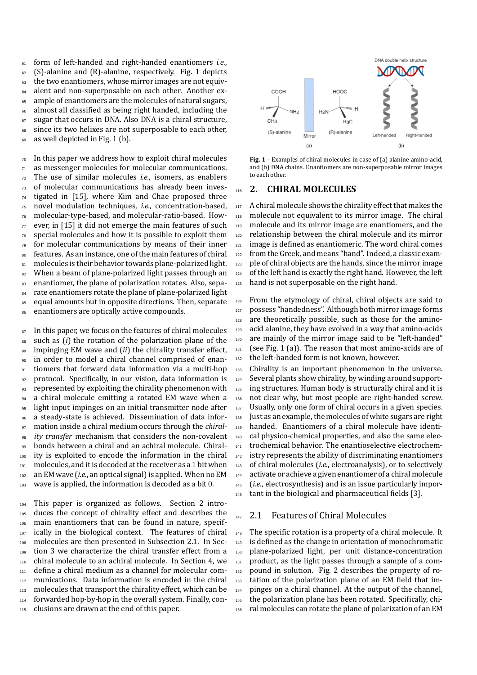form of left-handed and right-handed enantiomers *i.e.*, (S)-alanine and (R)-alanine, respectively. Fig. 1 depicts <sup>63</sup> the two enantiomers, whose mirror images are not equiv- alent and non-superposable on each other. Another ex- ample of enantiomers are the molecules of natural sugars, almost all classified as being right handed, including the sugar that occurs in DNA. Also DNA is a chiral structure, <sup>68</sup> since its two helixes are not superposable to each other, 69 as well depicted in Fig. 1 (b).

 $70$  In this paper we address how to exploit chiral molecules  $71$  as messenger molecules for molecular communications. <sup>72</sup> The use of similar molecules *i.e.*, isomers, as enablers <sup>73</sup> of molecular communications has already been inves-<sup>74</sup> tigated in [15], where Kim and Chae proposed three <sup>75</sup> novel modulation techniques, *i.e.*, concentration-based, <sup>76</sup> molecular-type-based, and molecular-ratio-based. How- $77$  ever, in [15] it did not emerge the main features of such  $78$  special molecules and how it is possible to exploit them <sup>79</sup> for molecular communications by means of their inner 80 features. As an instance, one of the main features of chiral 81 molecules is their behavior towards plane-polarized light. 82 When a beam of plane-polarized light passes through an 83 enantiomer, the plane of polarization rotates. Also, sepa-84 rate enantiomers rotate the plane of plane-polarized light 85 equal amounts but in opposite directions. Then, separate 86 enantiomers are optically active compounds.

87 In this paper, we focus on the features of chiral molecules such as (*i*) the rotation of the polarization plane of the impinging EM wave and (*ii*) the chirality transfer effect, in order to model a chiral channel comprised of enan- tiomers that forward data information via a multi-hop 92 protocol. Specifically, in our vision, data information is 93 represented by exploiting the chirality phenomenon with 94 a chiral molecule emitting a rotated EM wave when a light input impinges on an initial transmitter node after a steady-state is achieved. Dissemination of data infor- mation inside a chiral medium occurs through the *chiral- ity transfer* mechanism that considers the non-covalent bonds between a chiral and an achiral molecule. Chiral- ity is exploited to encode the information in the chiral 101 molecules, and it is decoded at the receiver as a 1 bit when an EM wave (*i.e.*, an optical signal) is applied. When no EM 103 wave is applied, the information is decoded as a bit 0.

 This paper is organized as follows. Section 2 intro- duces the concept of chirality effect and describes the main enantiomers that can be found in nature, specif-107 ically in the biological context. The features of chiral molecules are then presented in Subsection 2.1. In Sec- tion 3 we characterize the chiral transfer effect from a chiral molecule to an achiral molecule. In Section 4, we define a chiral medium as a channel for molecular com- munications. Data information is encoded in the chiral 113 molecules that transport the chirality effect, which can be 114 forwarded hop-by-hop in the overall system. Finally, con-115 clusions are drawn at the end of this paper.



**Fig. 1** – Examples of chiral molecules in case of (a) alanine amino-acid, and (b) DNA chains. Enantiomers are non-superposable mirror images to each other.

#### <sup>116</sup> **2. CHIRAL MOLECULES**

117 A chiral molecule shows the chirality effect that makes the molecule not equivalent to its mirror image. The chiral molecule and its mirror image are enantiomers, and the relationship between the chiral molecule and its mirror image is defined as enantiomeric. The word chiral comes from the Greek, and means "hand". Indeed, a classic exam- ple of chiral objects are the hands, since the mirror image of the left hand is exactly the right hand. However, the left 125 hand is not superposable on the right hand.

126 From the etymology of chiral, chiral objects are said to <sup>127</sup> possess "handedness". Although both mirror image forms 128 are theoretically possible, such as those for the amino-129 acid alanine, they have evolved in a way that amino-acids <sup>130</sup> are mainly of the mirror image said to be "left-handed"  $_{131}$  (see Fig. 1 (a)). The reason that most amino-acids are of 132 the left-handed form is not known, however.

133 Chirality is an important phenomenon in the universe. 134 Several plants show chirality, by winding around support-135 ing structures. Human body is structurally chiral and it is 136 not clear why, but most people are right-handed screw. 137 Usually, only one form of chiral occurs in a given species. 138 Just as an example, the molecules of white sugars are right <sup>139</sup> handed. Enantiomers of a chiral molecule have identi-<sup>140</sup> cal physico-chemical properties, and also the same elec-<sup>141</sup> trochemical behavior. The enantioselective electrochem-142 istry represents the ability of discriminating enantiomers <sup>143</sup> of chiral molecules (*i.e.*, electroanalysis), or to selectively <sup>144</sup> activate or achieve a given enantiomer of a chiral molecule <sup>145</sup> (*i.e.*, electrosynthesis) and is an issue particularly impor-<sup>146</sup> tant in the biological and pharmaceutical fields [3].

#### $147$  2.1 Features of Chiral Molecules

148 The specific rotation is a property of a chiral molecule. It 149 is defined as the change in orientation of monochromatic <sup>150</sup> plane-polarized light, per unit distance-concentration <sup>151</sup> product, as the light passes through a sample of a com-<sup>152</sup> pound in solution. Fig. 2 describes the property of ro-<sup>153</sup> tation of the polarization plane of an EM field that im-<sup>154</sup> pinges on a chiral channel. At the output of the channel, 155 the polarization plane has been rotated. Specifically, chi-156 ral molecules can rotate the plane of polarization of an EM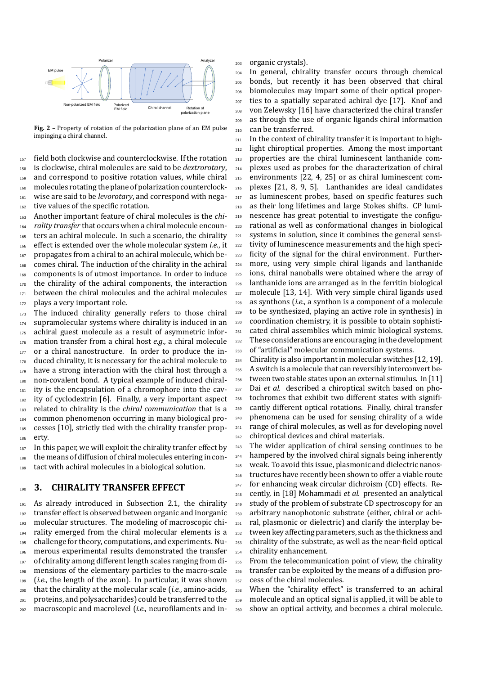

**Fig. 2** – Property of rotation of the polarization plane of an EM pulse impinging a chiral channel.

 field both clockwise and counterclockwise. If the rotation is clockwise, chiral molecules are said to be *dextrorotary*, and correspond to positive rotation values, while chiral molecules rotating the plane of polarization counterclock- wise are said to be *levorotary*, and correspond with nega-162 tive values of the specific rotation.

 Another important feature of chiral molecules is the *chi- rality transfer* that occurs when a chiral molecule encoun- ters an achiral molecule. In such a scenario, the chirality effect is extended over the whole molecular system *i.e.*, it 167 propagates from a chiral to an achiral molecule, which be- comes chiral. The induction of the chirality in the achiral components is of utmost importance. In order to induce 170 the chirality of the achiral components, the interaction 171 between the chiral molecules and the achiral molecules 172 plays a very important role.

173 The induced chirality generally refers to those chiral 174 supramolecular systems where chirality is induced in an 175 achiral guest molecule as a result of asymmetric infor- mation transfer from a chiral host *e.g.*, a chiral molecule 177 or a chiral nanostructure. In order to produce the in-178 duced chirality, it is necessary for the achiral molecule to 179 have a strong interaction with the chiral host through a non-covalent bond. A typical example of induced chiral- ity is the encapsulation of a chromophore into the cav-182 ity of cyclodextrin [6]. Finally, a very important aspect related to chirality is the *chiral communication* that is a common phenomenon occurring in many biological pro- cesses [10], strictly tied with the chirality transfer prop-erty.

 In this paper, we will exploit the chirality tranfer effect by the means of diffusion of chiral molecules entering in con-tact with achiral molecules in a biological solution.

### **3. CHIRALITY TRANSFER EFFECT**

 As already introduced in Subsection 2.1, the chirality 192 transfer effect is observed between organic and inorganic molecular structures. The modeling of macroscopic chi- rality emerged from the chiral molecular elements is a challenge for theory, computations, and experiments. Nu- merous experimental results demonstrated the transfer of chirality among different length scales ranging from di- mensions of the elementary particles to the macro-scale (*i.e.*, the length of the axon). In particular, it was shown that the chirality at the molecular scale (*i.e.*, amino-acids, proteins, and polysaccharides) could be transferred to the macroscopic and macrolevel (*i.e.*, neurofilaments and inorganic crystals).

 In general, chirality transfer occurs through chemical bonds, but recently it has been observed that chiral biomolecules may impart some of their optical proper- ties to a spatially separated achiral dye [17]. Knof and von Zelewsky [16] have characterized the chiral transfer as through the use of organic ligands chiral information can be transferred.

 In the context of chirality transfer it is important to high- light chiroptical properties. Among the most important properties are the chiral luminescent lanthanide com- plexes used as probes for the characterization of chiral environments [22, 4, 25] or as chiral luminescent com- plexes [21, 8, 9, 5]. Lanthanides are ideal candidates 217 as luminescent probes, based on specific features such as their long lifetimes and large Stokes shifts. CP lumi- nescence has great potential to investigate the configu- rational as well as conformational changes in biological systems in solution, since it combines the general sensi- tivity of luminescence measurements and the high speci- ficity of the signal for the chiral environment. Further- more, using very simple chiral ligands and lanthanide ions, chiral nanoballs were obtained where the array of lanthanide ions are arranged as in the ferritin biological molecule [13, 14]. With very simple chiral ligands used as synthons (*i.e.*, a synthon is a component of a molecule to be synthesized, playing an active role in synthesis) in coordination chemistry, it is possible to obtain sophisti- cated chiral assemblies which mimic biological systems. These considerations are encouraging in the development of "artificial" molecular communication systems.

 Chirality is also important in molecular switches [12, 19]. 235 A switch is a molecule that can reversibly interconvert be- tween two stable states upon an external stimulus. In [11] Dai *et al.* described a chiroptical switch based on pho- tochromes that exhibit two different states with signifi- cantly different optical rotations. Finally, chiral transfer phenomena can be used for sensing chirality of a wide range of chiral molecules, as well as for developing novel chiroptical devices and chiral materials.

 The wider application of chiral sensing continues to be 244 hampered by the involved chiral signals being inherently weak. To avoid this issue, plasmonic and dielectric nanos- tructures have recently been shown to offer a viable route for enhancing weak circular dichroism (CD) effects. Re- cently, in [18] Mohammadi *et al.* presented an analytical 249 study of the problem of substrate CD spectroscopy for an arbitrary nanophotonic substrate (either, chiral or achi- ral, plasmonic or dielectric) and clarify the interplay be- tween key affecting parameters, such as the thickness and chirality of the substrate, as well as the near-field optical chirality enhancement.

 From the telecommunication point of view, the chirality transfer can be exploited by the means of a diffusion pro-cess of the chiral molecules.

 When the "chirality effect" is transferred to an achiral molecule and an optical signal is applied, it will be able to show an optical activity, and becomes a chiral molecule.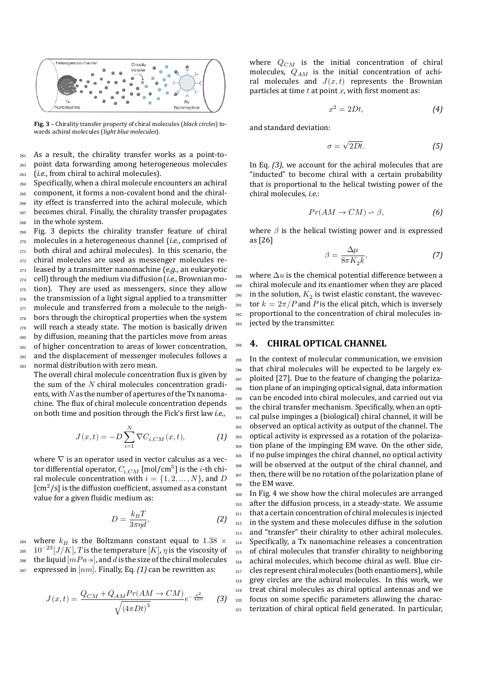

**Fig. 3** – Chirality transfer property of chiral molecules (*black circles*) towards achiral molecules (*light blue molecules*).

<sup>261</sup> As a result, the chirality transfer works as a point-to-<sup>262</sup> point data forwarding among heterogeneous molecules <sup>263</sup> (*i.e.*, from chiral to achiral molecules).

 Specifically, when a chiral molecule encounters an achiral component, it forms a non-covalent bond and the chiral- ity effect is transferred into the achiral molecule, which 267 becomes chiral. Finally, the chirality transfer propagates in the whole system.

 Fig. 3 depicts the chirality transfer feature of chiral molecules in a heterogeneous channel (*i.e.*, comprised of both chiral and achiral molecules). In this scenario, the chiral molecules are used as messenger molecules re- leased by a transmitter nanomachine (*e.g.*, an eukaryotic cell) through the medium via diffusion (*i.e.*, Brownian mo-<sub>275</sub> tion). They are used as messengers, since they allow the transmission of a light signal applied to a transmitter <sub>277</sub> molecule and transferred from a molecule to the neigh- bors through the chiroptical properties when the system 279 will reach a steady state. The motion is basically driven by diffusion, meaning that the particles move from areas of higher concentration to areas of lower concentration, and the displacement of messenger molecules follows a normal distribution with zero mean.

The overall chiral molecule concentration flux is given by the sum of the  $N$  chiral molecules concentration gradients, with  $N$  as the number of apertures of the Tx nanomachine. The flux of chiral molecule concentration depends on both time and position through the Fick's first law *i.e.*,

$$
J(x,t) = -D\sum_{i=1}^{N}\nabla C_{i,CM}(x,t), \qquad (1)
$$

where  $\nabla$  is an operator used in vector calculus as a vector differential operator,  $C_{i,CM}$  [mol/cm $^3$ ] is the  $i\text{-th}$  chiral molecule concentration with  $i = \{1, 2, ..., N\}$ , and D  $\lceil \text{cm}^2/\text{s} \rceil$  is the diffusion coefficient, assumed as a constant value for a given fluidic medium as:

$$
D = \frac{k_B T}{3\pi \eta d},\tag{2}
$$

<sup>284</sup> where  $k_B$  is the Boltzmann constant equal to 1.38  $\times$ <sup>285</sup>  $10^{-23} [J/K]$ , T is the temperature  $[K]$ ,  $\eta$  is the viscosity of 286 the liquid  $[mPa \cdot s]$ , and d is the size of the chiral molecules <sup>287</sup> expressed in  $[mn]$ . Finally, Eq.  $(1)$  can be rewritten as:

$$
J(x,t) = \frac{Q_{CM} + Q_{AM}Pr(AM \to CM)}{\sqrt{(4\pi Dt)^3}}e^{-\frac{x^2}{4Dt}} \tag{3}
$$

where  $Q_{CM}$  is the initial concentration of chiral molecules,  $Q_{AM}$  is the initial concentration of achiral molecules and  $J(x, t)$  represents the Brownian particles at time  $t$  at point  $x$ , with first moment as:

$$
x^2 = 2Dt,\t\t(4)
$$

and standard deviation:

$$
\sigma = \sqrt{2Dt}.\tag{5}
$$

In Eq. *(3)*, we account for the achiral molecules that are "inducted" to become chiral with a certain probability that is proportional to the helical twisting power of the chiral molecules, *i.e.*:

$$
Pr(AM \to CM) \backsim \beta, \tag{6}
$$

where  $\beta$  is the helical twisting power and is expressed as [26]

$$
\beta = \frac{\Delta \mu}{8\pi K_2 k},\tag{7}
$$

<sup>288</sup> where  $\Delta u$  is the chemical potential difference between a <sup>289</sup> chiral molecule and its enantiomer when they are placed  $_{290}$  in the solution,  $K^{}_2$  is twist elastic constant, the wavevec-<sup>291</sup> tor  $k = 2\pi/P$  and P is the elical pitch, which is inversely <sup>292</sup> proportional to the concentration of chiral molecules in-<sup>293</sup> jected by the transmitter.

#### <sup>294</sup> **4. CHIRAL OPTICAL CHANNEL**

 In the context of molecular communication, we envision that chiral molecules will be expected to be largely ex-297 ploited [27]. Due to the feature of changing the polariza- tion plane of an impinging optical signal, data information can be encoded into chiral molecules, and carried out via the chiral transfer mechanism. Specifically, when an opti- cal pulse impinges a (biological) chiral channel, it will be observed an optical activity as output of the channel. The optical activity is expressed as a rotation of the polariza- tion plane of the impinging EM wave. On the other side, if no pulse impinges the chiral channel, no optical activity will be observed at the output of the chiral channel, and then, there will be no rotation of the polarization plane of the EM wave.

<sup>309</sup> In Fig. 4 we show how the chiral molecules are arranged 310 after the diffusion process, in a steady-state. We assume 311 that a certain concentration of chiral molecules is injected 312 in the system and these molecules diffuse in the solution 313 and "transfer" their chirality to other achiral molecules. <sup>314</sup> Specifically, a Tx nanomachine releases a concentration 315 of chiral molecules that transfer chirality to neighboring 316 achiral molecules, which become chiral as well. Blue cir-317 cles represent chiral molecules (both enantiomers), while 318 grey circles are the achiral molecules. In this work, we <sup>319</sup> treat chiral molecules as chiral optical antennas and we <sup>320</sup> focus on some specific parameters allowing the charac-<sup>321</sup> terization of chiral optical field generated. In particular,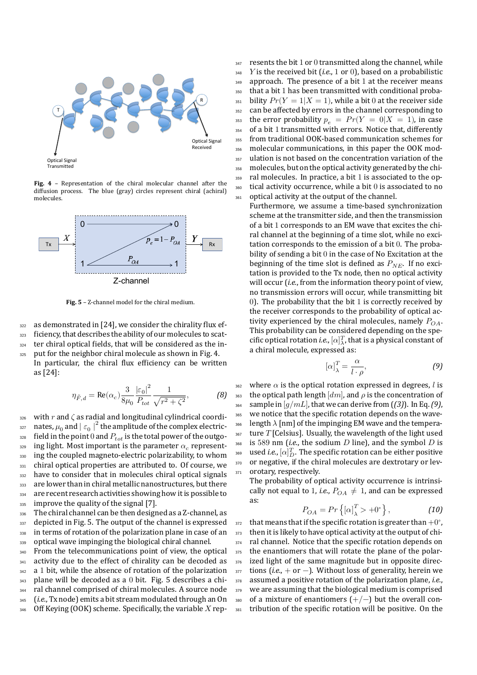

**Fig. 4** – Representation of the chiral molecular channel after the diffusion process. The blue (gray) circles represent chiral (achiral) molecules.



**Fig. 5** – Z-channel model for the chiral medium.

322 as demonstrated in [24], we consider the chirality flux ef- $1223$  ficiency, that describes the ability of our molecules to scat-<sup>324</sup> ter chiral optical fields, that will be considered as the in-

325 put for the neighbor chiral molecule as shown in Fig. 4. In particular, the chiral flux efficiency can be written as [24]:

$$
\eta_{\tilde{F},d} = \text{Re}(\alpha_c) \frac{3}{8\mu_0} \frac{|\varepsilon_0|^2}{P_{tot}} \frac{1}{\sqrt{r^2 + \zeta^2}},
$$
(8)

326 with  $r$  and  $\zeta$  as radial and longitudinal cylindrical coordi- $_{\rm ^{327}~}$  nates,  $\mu _{0}$  and  $\mid \varepsilon _{0}\mid ^{2}$  the amplitude of the complex electric- $1328$  field in the point 0 and  $P_{tot}$  is the total power of the outgo- $_{\rm ^{329}~}$  ing light. Most important is the parameter  $\alpha_c$  represent-330 ing the coupled magneto-electric polarizability, to whom 331 chiral optical properties are attributed to. Of course, we <sup>332</sup> have to consider that in molecules chiral optical signals 333 are lower than in chiral metallic nanostructures, but there 334 are recent research activities showing how it is possible to 335 improve the quality of the signal [7].

336 The chiral channel can be then designed as a Z-channel, as 337 depicted in Fig. 5. The output of the channel is expressed <sup>338</sup> in terms of rotation of the polarization plane in case of an <sup>339</sup> optical wave impinging the biological chiral channel.

340 From the telecommunications point of view, the optical 341 activity due to the effect of chirality can be decoded as 342 a 1 bit, while the absence of rotation of the polarization <sup>343</sup> plane will be decoded as a 0 bit. Fig. 5 describes a chi-<sup>344</sup> ral channel comprised of chiral molecules. A source node <sup>345</sup> (*i.e.*, Tx node) emits a bit stream modulated through an On 346 Off Keying (OOK) scheme. Specifically, the variable  $X$  rep $347$  resents the bit 1 or 0 transmitted along the channel, while  $_348$  Y is the received bit (*i.e.*, 1 or 0), based on a probabilistic 349 approach. The presence of a bit 1 at the receiver means <sup>350</sup> that a bit 1 has been transmitted with conditional proba-<sup>351</sup> bility  $Pr(Y = 1 | X = 1)$ , while a bit 0 at the receiver side 352 can be affected by errors in the channel corresponding to 353 the error probability  $p_e = Pr(Y = 0|X = 1)$ , in case <sup>354</sup> of a bit 1 transmitted with errors. Notice that, differently <sup>355</sup> from traditional OOK-based communication schemes for <sup>356</sup> molecular communications, in this paper the OOK mod-357 ulation is not based on the concentration variation of the <sup>358</sup> molecules, but on the optical activity generated by the chi-<sup>359</sup> ral molecules. In practice, a bit 1 is associated to the op-<sup>360</sup> tical activity occurrence, while a bit 0 is associated to no <sup>361</sup> optical activity at the output of the channel.

Furthermore, we assume a time-based synchronization scheme at the transmitter side, and then the transmission of a bit 1 corresponds to an EM wave that excites the chiral channel at the beginning of a time slot, while no excitation corresponds to the emission of a bit 0. The probability of sending a bit 0 in the case of No Excitation at the beginning of the time slot is defined as  $P_{NE}$ . If no excitation is provided to the Tx node, then no optical activity will occur (*i.e.*, from the information theory point of view, no transmission errors will occur, while transmitting bit 0). The probability that the bit 1 is correctly received by the receiver corresponds to the probability of optical activity experienced by the chiral molecules, namely  $P_{OA}$ . This probability can be considered depending on the specific optical rotation *i.e.*,  $[\alpha]_{{\lambda}}^T$ , that is a physical constant of a chiral molecule, expressed as:

$$
\left[\alpha\right]_{\lambda}^{T} = \frac{\alpha}{l \cdot \rho},\tag{9}
$$

 $362$  where  $\alpha$  is the optical rotation expressed in degrees, *l* is 363 the optical path length  $[dm]$ , and  $\rho$  is the concentration of  $_{364}$  sample in [ $g/mL$ ], that we can derive from ((3)). In Eq. (9), <sup>365</sup> we notice that the specific rotation depends on the wave-366 length  $\lambda$  [nm] of the impinging EM wave and the tempera- $367$  ture  $T$  [Celsius]. Usually, the wavelength of the light used  $1368$  is 589 nm (*i.e.*, the sodium  $D$  line), and the symbol  $D$  is  $_{\rm^{369}}$   $\,$  used *i.e.*,  $[\alpha]_{D}^{T}.$  The specific rotation can be either positive 370 or negative, if the chiral molecules are dextrotary or lev-371 orotary, respectively.

The probability of optical activity occurrence is intrinsically not equal to 1, *i.e.*,  $P_{OA} \neq 1$ , and can be expressed as:

$$
P_{OA} = Pr\left\{ \left[ \alpha \right]_{\lambda}^{T} > +0^{\circ} \right\},\tag{10}
$$

372 that means that if the specific rotation is greater than  $+0^{\circ}$ , 373 then it is likely to have optical activity at the output of chi-374 ral channel. Notice that the specific rotation depends on 375 the enantiomers that will rotate the plane of the polar-376 ized light of the same magnitude but in opposite direc-<sup>377</sup> tions (*i.e.*, + or −). Without loss of generality, herein we <sup>378</sup> assumed a positive rotation of the polarization plane, *i.e.*, 379 we are assuming that the biological medium is comprised 380 of a mixture of enantiomers  $(+/-)$  but the overall con-381 tribution of the specific rotation will be positive. On the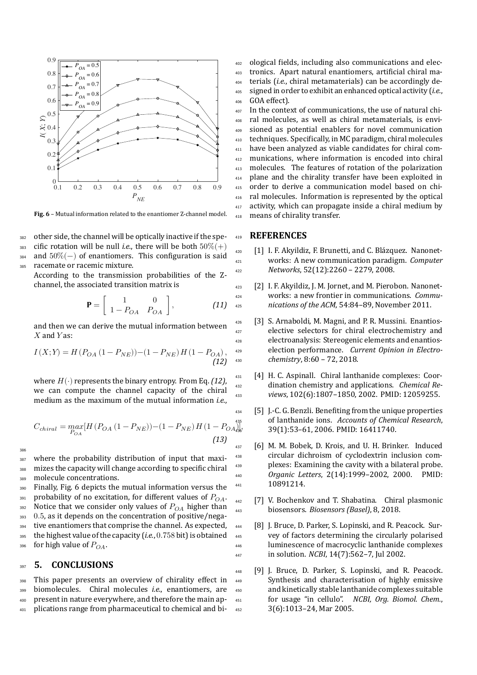

**Fig. 6** – Mutual information related to the enantiomer Z-channel model.

<sup>382</sup> other side, the channel will be optically inactive if the spe-383 cific rotation will be null *i.e.*, there will be both  $50\%(+)$ 384 and  $50\%(-)$  of enantiomers. This configuration is said <sup>385</sup> racemate or racemic mixture.

According to the transmission probabilities of the Zchannel, the associated transition matrix is

$$
\mathbf{P} = \left[ \begin{array}{cc} 1 & 0 \\ 1 - P_{OA} & P_{OA} \end{array} \right], \tag{11}
$$

and then we can derive the mutual information between  $X$  and  $Y$  as:

$$
I(X;Y) = H(P_{OA} (1 - P_{NE})) - (1 - P_{NE}) H (1 - P_{OA}),
$$
\n(12)

where  $H(\cdot)$  represents the binary entropy. From Eq.  $(12)$ , we can compute the channel capacity of the chiral medium as the maximum of the mutual information *i.e.*,

$$
C_{chiral} = \max_{P_{OA}} [H(P_{OA} (1 - P_{NE})) - (1 - P_{NE}) H (1 - P_{OA})],
$$
\n(13)

386

<sup>387</sup> where the probability distribution of input that maxi-<sup>388</sup> mizes the capacity will change according to specific chiral <sup>389</sup> molecule concentrations.

<sup>390</sup> Finally, Fig. 6 depicts the mutual information versus the 391 probability of no excitation, for different values of  $P_{OA}$ . 392 Notice that we consider only values of  $P_{OA}$  higher than 393 0.5, as it depends on the concentration of positive/nega-<sup>394</sup> tive enantiomers that comprise the channel. As expected, <sup>395</sup> the highest value of the capacity (*i.e.*, 0.758 bit) is obtained  $_{396}$  for high value of  $P_{OA}$ .

#### <sup>397</sup> **5. CONCLUSIONS**

 This paper presents an overview of chirality effect in biomolecules. Chiral molecules *i.e.*, enantiomers, are present in nature everywhere, and therefore the main ap-plications range from pharmaceutical to chemical and bi-

 ological fields, including also communications and elec- tronics. Apart natural enantiomers, artificial chiral ma- terials (*i.e.*, chiral metamaterials) can be accordingly de- signed in order to exhibit an enhanced optical activity (*i.e.*, GOA effect).

 In the context of communications, the use of natural chi- ral molecules, as well as chiral metamaterials, is envi- sioned as potential enablers for novel communication techniques. Specifically, in MC paradigm, chiral molecules have been analyzed as viable candidates for chiral com- munications, where information is encoded into chiral molecules. The features of rotation of the polarization plane and the chirality transfer have been exploited in order to derive a communication model based on chi- ral molecules. Information is represented by the optical 417 activity, which can propagate inside a chiral medium by means of chirality transfer.

#### <sup>419</sup> **REFERENCES**

- <sup>420</sup> [1] I. F. Akyildiz, F. Brunetti, and C. Blázquez. Nanonet-<sup>421</sup> works: A new communication paradigm. *Computer* <sup>422</sup> *Networks*, 52(12):2260 – 2279, 2008.
- <sup>423</sup> [2] I. F. Akyildiz, J. M. Jornet, and M. Pierobon. Nanonet-<sup>424</sup> works: a new frontier in communications. *Commu-*<sup>425</sup> *nications of the ACM*, 54:84–89, November 2011.
- <sup>426</sup> [3] S. Arnaboldi, M. Magni, and P. R. Mussini. Enantios-427 elective selectors for chiral electrochemistry and <sup>428</sup> electroanalysis: Stereogenic elements and enantios-<sup>429</sup> election performance. *Current Opinion in Electro-*<sup>430</sup> *chemistry*, 8:60 – 72, 2018.
- <sup>431</sup> [4] H. C. Aspinall. Chiral lanthanide complexes: Coor-<sup>432</sup> dination chemistry and applications. *Chemical Re-*<sup>433</sup> *views*, 102(6):1807–1850, 2002. PMID: 12059255.
- <sup>434</sup> [5] J.-C. G. Benzli. Benefiting from the unique properties <sup>435</sup> of lanthanide ions. *Accounts of Chemical Research*, <sup>436</sup> 39(1):53–61, 2006. PMID: 16411740.
- <sup>437</sup> [6] M. M. Bobek, D. Krois, and U. H. Brinker. Induced <sup>438</sup> circular dichroism of cyclodextrin inclusion com-439 plexes: Examining the cavity with a bilateral probe. <sup>440</sup> *Organic Letters*, 2(14):1999–2002, 2000. PMID: <sup>441</sup> 10891214.
- <sup>442</sup> [7] V. Bochenkov and T. Shabatina. Chiral plasmonic <sup>443</sup> biosensors. *Biosensors (Basel)*, 8, 2018.
- <sup>444</sup> [8] J. Bruce, D. Parker, S. Lopinski, and R. Peacock. Sur-<sup>445</sup> vey of factors determining the circularly polarised <sup>446</sup> luminescence of macrocyclic lanthanide complexes <sup>447</sup> in solution. *NCBI*, 14(7):562–7, Jul 2002.
- <sup>448</sup> [9] J. Bruce, D. Parker, S. Lopinski, and R. Peacock. <sup>449</sup> Synthesis and characterisation of highly emissive <sup>450</sup> and kinetically stable lanthanide complexes suitable <sup>451</sup> for usage "in cellulo". *NCBI, Org. Biomol. Chem.*, <sup>452</sup> 3(6):1013–24, Mar 2005.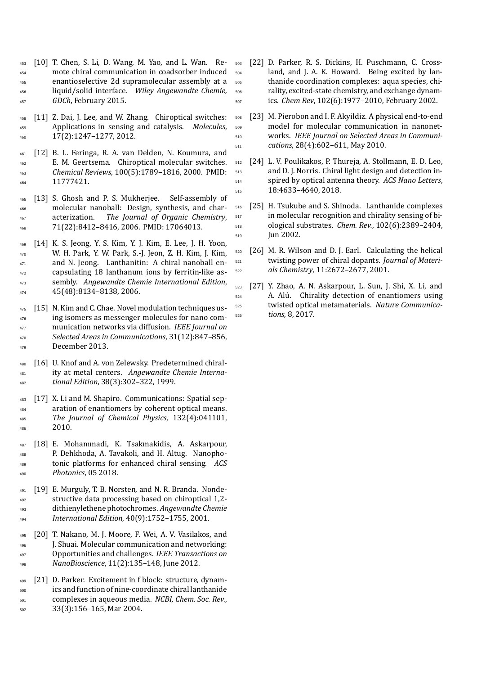- [10] T. Chen, S. Li, D. Wang, M. Yao, and L. Wan. Re- mote chiral communication in coadsorber induced enantioselective 2d supramolecular assembly at a liquid/solid interface. *Wiley Angewandte Chemie, GDCh*, February 2015.
- [11] Z. Dai, J. Lee, and W. Zhang. Chiroptical switches: Applications in sensing and catalysis. *Molecules*, 17(2):1247–1277, 2012.
- [12] B. L. Feringa, R. A. van Delden, N. Koumura, and E. M. Geertsema. Chiroptical molecular switches. *Chemical Reviews*, 100(5):1789–1816, 2000. PMID: 11777421.
- [13] S. Ghosh and P. S. Mukherjee. Self-assembly of molecular nanoball: Design, synthesis, and char- acterization. *The Journal of Organic Chemistry*, 71(22):8412–8416, 2006. PMID: 17064013.
- [14] K. S. Jeong, Y. S. Kim, Y. J. Kim, E. Lee, J. H. Yoon, W. H. Park, Y. W. Park, S.-J. Jeon, Z. H. Kim, J. Kim, and N. Jeong. Lanthanitin: A chiral nanoball en- capsulating 18 lanthanum ions by ferritin-like as- sembly. *Angewandte Chemie International Edition*, 45(48):8134–8138, 2006.
- 475 [15] N. Kim and C. Chae. Novel modulation techniques us- ing isomers as messenger molecules for nano com- munication networks via diffusion. *IEEE Journal on Selected Areas in Communications*, 31(12):847–856, <sup>479</sup> December 2013.
- [16] U. Knof and A. von Zelewsky. Predetermined chiral- ity at metal centers. *Angewandte Chemie Interna-tional Edition*, 38(3):302–322, 1999.
- [17] X. Li and M. Shapiro. Communications: Spatial separation of enantiomers by coherent optical means. *The Journal of Chemical Physics*, 132(4):041101, 2010.
- [18] E. Mohammadi, K. Tsakmakidis, A. Askarpour, P. Dehkhoda, A. Tavakoli, and H. Altug. Nanopho- tonic platforms for enhanced chiral sensing. *ACS Photonics*, 05 2018.
- [19] E. Murguly, T. B. Norsten, and N. R. Branda. Nonde- structive data processing based on chiroptical 1,2- dithienylethene photochromes. *Angewandte Chemie International Edition*, 40(9):1752–1755, 2001.
- [20] T. Nakano, M. J. Moore, F. Wei, A. V. Vasilakos, and <sup>496</sup> I. Shuai. Molecular communication and networking: Opportunities and challenges. *IEEE Transactions on NanoBioscience*, 11(2):135–148, June 2012.
- [21] D. Parker. Excitement in f block: structure, dynam- ics and function of nine-coordinate chiral lanthanide complexes in aqueous media. *NCBI, Chem. Soc. Rev.*, 33(3):156–165, Mar 2004.
- [22] D. Parker, R. S. Dickins, H. Puschmann, C. Cross- land, and J. A. K. Howard. Being excited by lan- thanide coordination complexes: aqua species, chi- rality, excited-state chemistry, and exchange dynam-ics. *Chem Rev*, 102(6):1977–2010, February 2002.
- [23] M. Pierobon and I. F. Akyildiz. A physical end-to-end model for molecular communication in nanonet- works. *IEEE Journal on Selected Areas in Communi-cations*, 28(4):602–611, May 2010.
- [24] L. V. Poulikakos, P. Thureja, A. Stollmann, E. D. Leo, and D. J. Norris. Chiral light design and detection in- spired by optical antenna theory. *ACS Nano Letters*, 18:4633–4640, 2018.
- [25] H. Tsukube and S. Shinoda. Lanthanide complexes in molecular recognition and chirality sensing of bi- ological substrates. *Chem. Rev.*, 102(6):2389–2404, Jun 2002.
- [26] M. R. Wilson and D. J. Earl. Calculating the helical twisting power of chiral dopants. *Journal of Materi-als Chemistry*, 11:2672–2677, 2001.
- [27] Y. Zhao, A. N. Askarpour, L. Sun, J. Shi, X. Li, and A. Alú. Chirality detection of enantiomers using twisted optical metamaterials. *Nature Communica-tions*, 8, 2017.